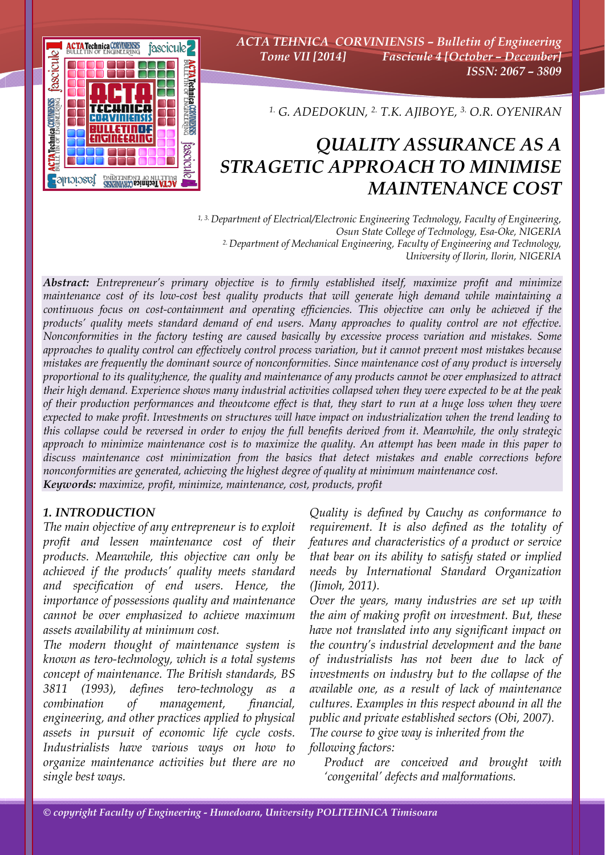

*ACTA TEHNICA CORVINIENSIS – Bulletin of Engineering Tome VII [2014] Fascicule 4 [October – December] ISSN: 2067 – 3809* 

*1. G. ADEDOKUN, 2. T.K. AJIBOYE, 3. O.R. OYENIRAN*

# *QUALITY ASSURANCE AS A STRAGETIC APPROACH TO MINIMISE MAINTENANCE COST*

*1, 3. Department of Electrical/Electronic Engineering Technology, Faculty of Engineering, Osun State College of Technology, Esa-Oke, NIGERIA 2. Department of Mechanical Engineering, Faculty of Engineering and Technology, University of Ilorin, Ilorin, NIGERIA* 

*Abstract: Entrepreneur's primary objective is to firmly established itself, maximize profit and minimize maintenance cost of its low-cost best quality products that will generate high demand while maintaining a continuous focus on cost-containment and operating efficiencies. This objective can only be achieved if the products' quality meets standard demand of end users. Many approaches to quality control are not effective. Nonconformities in the factory testing are caused basically by excessive process variation and mistakes. Some approaches to quality control can effectively control process variation, but it cannot prevent most mistakes because mistakes are frequently the dominant source of nonconformities. Since maintenance cost of any product is inversely proportional to its quality;hence, the quality and maintenance of any products cannot be over emphasized to attract their high demand. Experience shows many industrial activities collapsed when they were expected to be at the peak of their production performances and theoutcome effect is that, they start to run at a huge loss when they were expected to make profit. Investments on structures will have impact on industrialization when the trend leading to this collapse could be reversed in order to enjoy the full benefits derived from it. Meanwhile, the only strategic approach to minimize maintenance cost is to maximize the quality. An attempt has been made in this paper to discuss maintenance cost minimization from the basics that detect mistakes and enable corrections before nonconformities are generated, achieving the highest degree of quality at minimum maintenance cost. Keywords: maximize, profit, minimize, maintenance, cost, products, profit*

# *1. INTRODUCTION*

*The main objective of any entrepreneur is to exploit profit and lessen maintenance cost of their products. Meanwhile, this objective can only be achieved if the products' quality meets standard and specification of end users. Hence, the importance of possessions quality and maintenance cannot be over emphasized to achieve maximum assets availability at minimum cost.* 

*The modern thought of maintenance system is known as tero-technology, which is a total systems concept of maintenance. The British standards, BS 3811 (1993), defines tero-technology as a combination of management, financial, engineering, and other practices applied to physical assets in pursuit of economic life cycle costs. Industrialists have various ways on how to organize maintenance activities but there are no single best ways.* 

*Quality is defined by Cauchy as conformance to requirement. It is also defined as the totality of features and characteristics of a product or service that bear on its ability to satisfy stated or implied needs by International Standard Organization (Jimoh, 2011).* 

*Over the years, many industries are set up with the aim of making profit on investment. But, these have not translated into any significant impact on the country's industrial development and the bane of industrialists has not been due to lack of investments on industry but to the collapse of the available one, as a result of lack of maintenance cultures. Examples in this respect abound in all the public and private established sectors (Obi, 2007). The course to give way is inherited from the following factors:* 

 *Product are conceived and brought with 'congenital' defects and malformations.*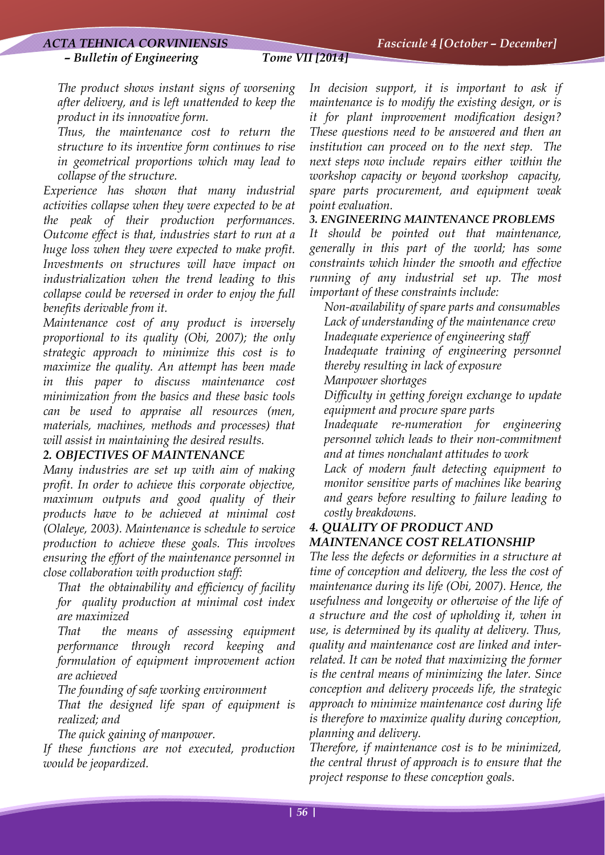#### *– Bulletin of Engineering Tome VII [2014]*

 *The product shows instant signs of worsening after delivery, and is left unattended to keep the product in its innovative form.* 

 *Thus, the maintenance cost to return the structure to its inventive form continues to rise in geometrical proportions which may lead to collapse of the structure.* 

*Experience has shown that many industrial activities collapse when they were expected to be at the peak of their production performances. Outcome effect is that, industries start to run at a huge loss when they were expected to make profit. Investments on structures will have impact on industrialization when the trend leading to this collapse could be reversed in order to enjoy the full benefits derivable from it.* 

*Maintenance cost of any product is inversely proportional to its quality (Obi, 2007); the only strategic approach to minimize this cost is to maximize the quality. An attempt has been made in this paper to discuss maintenance cost minimization from the basics and these basic tools can be used to appraise all resources (men, materials, machines, methods and processes) that will assist in maintaining the desired results.* 

#### *2. OBJECTIVES OF MAINTENANCE*

*Many industries are set up with aim of making profit. In order to achieve this corporate objective, maximum outputs and good quality of their products have to be achieved at minimal cost (Olaleye, 2003). Maintenance is schedule to service production to achieve these goals. This involves ensuring the effort of the maintenance personnel in close collaboration with production staff:* 

 *That the obtainability and efficiency of facility for quality production at minimal cost index are maximized* 

 *That the means of assessing equipment performance through record keeping and formulation of equipment improvement action are achieved* 

*The founding of safe working environment* 

 *That the designed life span of equipment is realized; and* 

*The quick gaining of manpower.* 

*If these functions are not executed, production would be jeopardized.* 

*In decision support, it is important to ask if maintenance is to modify the existing design, or is it for plant improvement modification design? These questions need to be answered and then an institution can proceed on to the next step. The next steps now include repairs either within the workshop capacity or beyond workshop capacity, spare parts procurement, and equipment weak point evaluation.* 

#### *3. ENGINEERING MAINTENANCE PROBLEMS*

*It should be pointed out that maintenance, generally in this part of the world; has some constraints which hinder the smooth and effective running of any industrial set up. The most important of these constraints include:* 

 *Non-availability of spare parts and consumables Lack of understanding of the maintenance crew Inadequate experience of engineering staff Inadequate training of engineering personnel thereby resulting in lack of exposure Manpower shortages* 

 *Difficulty in getting foreign exchange to update equipment and procure spare parts* 

 *Inadequate re-numeration for engineering personnel which leads to their non-commitment and at times nonchalant attitudes to work* 

 *Lack of modern fault detecting equipment to monitor sensitive parts of machines like bearing and gears before resulting to failure leading to costly breakdowns.* 

#### *4. QUALITY OF PRODUCT AND MAINTENANCE COST RELATIONSHIP*

*The less the defects or deformities in a structure at time of conception and delivery, the less the cost of maintenance during its life (Obi, 2007). Hence, the usefulness and longevity or otherwise of the life of a structure and the cost of upholding it, when in use, is determined by its quality at delivery. Thus, quality and maintenance cost are linked and interrelated. It can be noted that maximizing the former is the central means of minimizing the later. Since conception and delivery proceeds life, the strategic approach to minimize maintenance cost during life is therefore to maximize quality during conception, planning and delivery.* 

*Therefore, if maintenance cost is to be minimized, the central thrust of approach is to ensure that the project response to these conception goals.*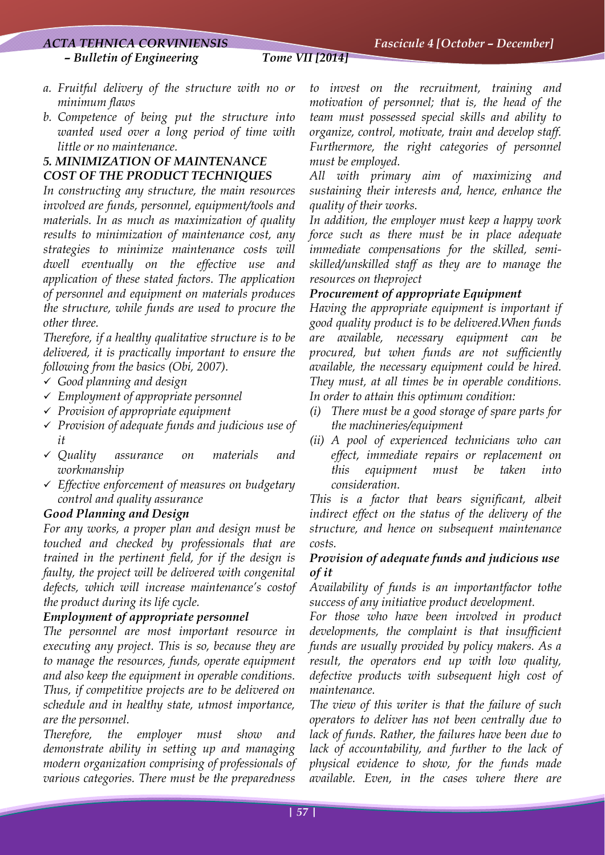# *ACTA TEHNICA CORVINIENSIS Fascicule 4 [October – December]*

 *– Bulletin of Engineering Tome VII [2014]* 

- 
- *a. Fruitful delivery of the structure with no or minimum flaws*
- *b. Competence of being put the structure into wanted used over a long period of time with little or no maintenance.*

# *5. MINIMIZATION OF MAINTENANCE COST OF THE PRODUCT TECHNIQUES*

*In constructing any structure, the main resources involved are funds, personnel, equipment/tools and materials. In as much as maximization of quality results to minimization of maintenance cost, any strategies to minimize maintenance costs will dwell eventually on the effective use and application of these stated factors. The application of personnel and equipment on materials produces the structure, while funds are used to procure the other three.* 

*Therefore, if a healthy qualitative structure is to be delivered, it is practically important to ensure the following from the basics (Obi, 2007).* 

- 9 *Good planning and design*
- 9 *Employment of appropriate personnel*
- 9 *Provision of appropriate equipment*
- 9 *Provision of adequate funds and judicious use of it*
- 9 *Quality assurance on materials and workmanship*
- 9 *Effective enforcement of measures on budgetary control and quality assurance*

#### *Good Planning and Design*

*For any works, a proper plan and design must be touched and checked by professionals that are trained in the pertinent field, for if the design is faulty, the project will be delivered with congenital defects, which will increase maintenance's costof the product during its life cycle.* 

#### *Employment of appropriate personnel*

*The personnel are most important resource in executing any project. This is so, because they are to manage the resources, funds, operate equipment and also keep the equipment in operable conditions. Thus, if competitive projects are to be delivered on schedule and in healthy state, utmost importance, are the personnel.* 

*Therefore, the employer must show and demonstrate ability in setting up and managing modern organization comprising of professionals of various categories. There must be the preparedness* 

*to invest on the recruitment, training and motivation of personnel; that is, the head of the team must possessed special skills and ability to organize, control, motivate, train and develop staff. Furthermore, the right categories of personnel must be employed.* 

*All with primary aim of maximizing and sustaining their interests and, hence, enhance the quality of their works.* 

*In addition, the employer must keep a happy work force such as there must be in place adequate immediate compensations for the skilled, semiskilled/unskilled staff as they are to manage the resources on theproject* 

#### *Procurement of appropriate Equipment*

*Having the appropriate equipment is important if good quality product is to be delivered.When funds are available, necessary equipment can be procured, but when funds are not sufficiently available, the necessary equipment could be hired. They must, at all times be in operable conditions. In order to attain this optimum condition:* 

- *(i) There must be a good storage of spare parts for the machineries/equipment*
- *(ii) A pool of experienced technicians who can effect, immediate repairs or replacement on this equipment must be taken into consideration.*

*This is a factor that bears significant, albeit indirect effect on the status of the delivery of the structure, and hence on subsequent maintenance costs.* 

# *Provision of adequate funds and judicious use of it*

*Availability of funds is an importantfactor tothe success of any initiative product development.* 

*For those who have been involved in product developments, the complaint is that insufficient funds are usually provided by policy makers. As a result, the operators end up with low quality, defective products with subsequent high cost of maintenance.* 

*The view of this writer is that the failure of such operators to deliver has not been centrally due to lack of funds. Rather, the failures have been due to lack of accountability, and further to the lack of physical evidence to show, for the funds made available. Even, in the cases where there are*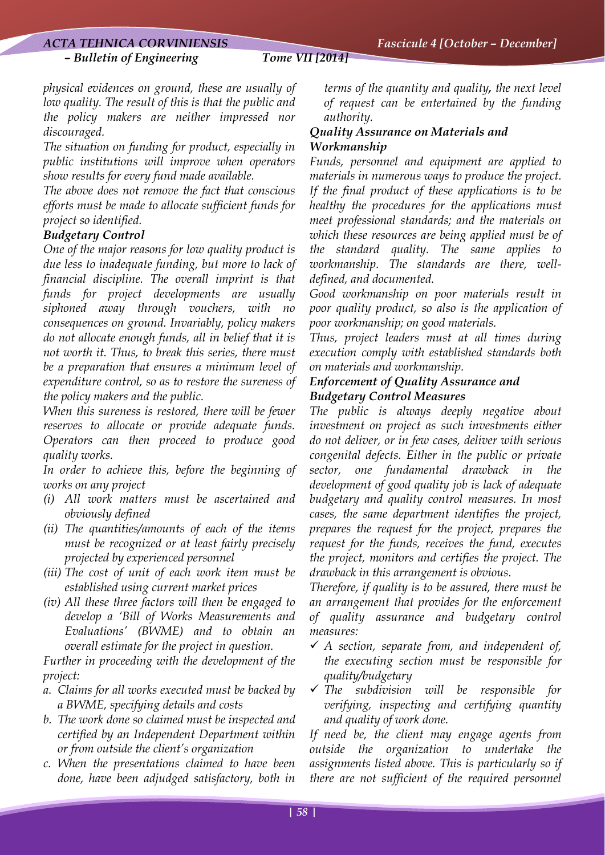#### *ACTA TEHNICA CORVINIENSIS Fascicule 4 [October – December]*

 *– Bulletin of Engineering Tome VII [2014]*

*physical evidences on ground, these are usually of low quality. The result of this is that the public and the policy makers are neither impressed nor discouraged.* 

*The situation on funding for product, especially in public institutions will improve when operators show results for every fund made available.* 

*The above does not remove the fact that conscious efforts must be made to allocate sufficient funds for project so identified.* 

#### *Budgetary Control*

*One of the major reasons for low quality product is due less to inadequate funding, but more to lack of financial discipline. The overall imprint is that funds for project developments are usually siphoned away through vouchers, with no consequences on ground. Invariably, policy makers do not allocate enough funds, all in belief that it is not worth it. Thus, to break this series, there must be a preparation that ensures a minimum level of expenditure control, so as to restore the sureness of the policy makers and the public.* 

*When this sureness is restored, there will be fewer reserves to allocate or provide adequate funds. Operators can then proceed to produce good quality works.* 

*In order to achieve this, before the beginning of works on any project* 

- *(i) All work matters must be ascertained and obviously defined*
- *(ii) The quantities/amounts of each of the items must be recognized or at least fairly precisely projected by experienced personnel*
- *(iii) The cost of unit of each work item must be established using current market prices*
- *(iv) All these three factors will then be engaged to develop a 'Bill of Works Measurements and Evaluations' (BWME) and to obtain an overall estimate for the project in question.*

*Further in proceeding with the development of the project:* 

- *a. Claims for all works executed must be backed by a BWME, specifying details and costs*
- *b. The work done so claimed must be inspected and certified by an Independent Department within or from outside the client's organization*
- *c. When the presentations claimed to have been done, have been adjudged satisfactory, both in*

*terms of the quantity and quality, the next level of request can be entertained by the funding authority.* 

#### *Quality Assurance on Materials and Workmanship*

*Funds, personnel and equipment are applied to materials in numerous ways to produce the project. If the final product of these applications is to be healthy the procedures for the applications must meet professional standards; and the materials on which these resources are being applied must be of the standard quality. The same applies to workmanship. The standards are there, welldefined, and documented.* 

*Good workmanship on poor materials result in poor quality product, so also is the application of poor workmanship; on good materials.* 

*Thus, project leaders must at all times during execution comply with established standards both on materials and workmanship.* 

#### *Enforcement of Quality Assurance and Budgetary Control Measures*

*The public is always deeply negative about investment on project as such investments either do not deliver, or in few cases, deliver with serious congenital defects. Either in the public or private sector, one fundamental drawback in the development of good quality job is lack of adequate budgetary and quality control measures. In most cases, the same department identifies the project, prepares the request for the project, prepares the request for the funds, receives the fund, executes the project, monitors and certifies the project. The drawback in this arrangement is obvious.* 

*Therefore, if quality is to be assured, there must be an arrangement that provides for the enforcement of quality assurance and budgetary control measures:* 

- 9 *A section, separate from, and independent of, the executing section must be responsible for quality/budgetary*
- 9 *The subdivision will be responsible for verifying, inspecting and certifying quantity and quality of work done.*

*If need be, the client may engage agents from outside the organization to undertake the assignments listed above. This is particularly so if there are not sufficient of the required personnel*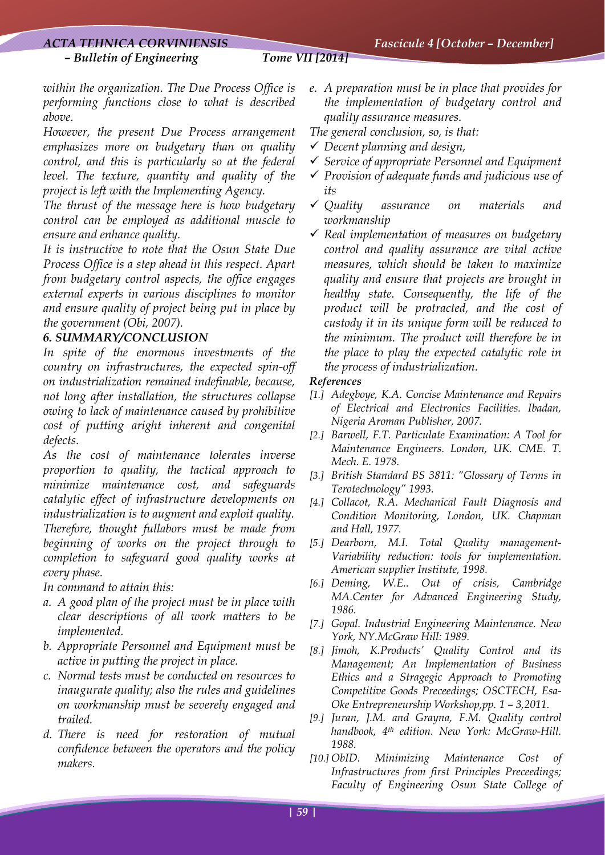### *ACTA TEHNICA CORVINIENSIS Fascicule 4 [October – December]*

#### *– Bulletin of Engineering Tome VII [2014]*

*within the organization. The Due Process Office is performing functions close to what is described above.* 

*However, the present Due Process arrangement emphasizes more on budgetary than on quality control, and this is particularly so at the federal level. The texture, quantity and quality of the project is left with the Implementing Agency.* 

*The thrust of the message here is how budgetary control can be employed as additional muscle to ensure and enhance quality.* 

*It is instructive to note that the Osun State Due Process Office is a step ahead in this respect. Apart from budgetary control aspects, the office engages external experts in various disciplines to monitor and ensure quality of project being put in place by the government (Obi, 2007).* 

#### *6. SUMMARY/CONCLUSION*

*In spite of the enormous investments of the country on infrastructures, the expected spin-off on industrialization remained indefinable, because, not long after installation, the structures collapse owing to lack of maintenance caused by prohibitive cost of putting aright inherent and congenital defects.* 

*As the cost of maintenance tolerates inverse proportion to quality, the tactical approach to minimize maintenance cost, and safeguards catalytic effect of infrastructure developments on industrialization is to augment and exploit quality. Therefore, thought fullabors must be made from beginning of works on the project through to completion to safeguard good quality works at every phase.* 

*In command to attain this:* 

- *a. A good plan of the project must be in place with clear descriptions of all work matters to be implemented.*
- *b. Appropriate Personnel and Equipment must be active in putting the project in place.*
- *c. Normal tests must be conducted on resources to inaugurate quality; also the rules and guidelines on workmanship must be severely engaged and trailed.*
- *d. There is need for restoration of mutual confidence between the operators and the policy makers.*

*e. A preparation must be in place that provides for the implementation of budgetary control and quality assurance measures.* 

*The general conclusion, so, is that:* 

- 9 *Decent planning and design,*
- 9 *Service of appropriate Personnel and Equipment*
- 9 *Provision of adequate funds and judicious use of its*
- 9 *Quality assurance on materials and workmanship*
- 9 *Real implementation of measures on budgetary control and quality assurance are vital active measures, which should be taken to maximize quality and ensure that projects are brought in healthy state. Consequently, the life of the product will be protracted, and the cost of custody it in its unique form will be reduced to the minimum. The product will therefore be in the place to play the expected catalytic role in the process of industrialization.*

#### *References*

- *[1.] Adegboye, K.A. Concise Maintenance and Repairs of Electrical and Electronics Facilities. Ibadan, Nigeria Aroman Publisher, 2007.*
- *[2.] Barwell, F.T. Particulate Examination: A Tool for Maintenance Engineers. London, UK. CME. T. Mech. E. 1978.*
- *[3.] British Standard BS 3811: "Glossary of Terms in Terotechnology" 1993.*
- *[4.] Collacot, R.A. Mechanical Fault Diagnosis and Condition Monitoring, London, UK. Chapman and Hall, 1977.*
- *[5.] Dearborn, M.I. Total Quality management-Variability reduction: tools for implementation. American supplier Institute, 1998.*
- *[6.] Deming, W.E.. Out of crisis, Cambridge MA.Center for Advanced Engineering Study, 1986.*
- *[7.] Gopal. Industrial Engineering Maintenance. New York, NY.McGraw Hill: 1989.*
- *[8.] Jimoh, K.Products' Quality Control and its Management; An Implementation of Business Ethics and a Stragegic Approach to Promoting Competitive Goods Preceedings; OSCTECH, Esa-Oke Entrepreneurship Workshop,pp. 1 – 3,2011.*
- *[9.] Juran, J.M. and Grayna, F.M. Quality control handbook, 4th edition. New York: McGraw-Hill. 1988.*
- *[10.] ObID. Minimizing Maintenance Cost of Infrastructures from first Principles Preceedings; Faculty of Engineering Osun State College of*